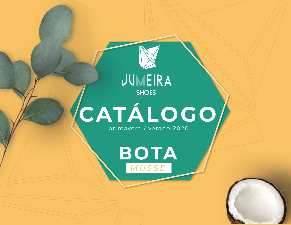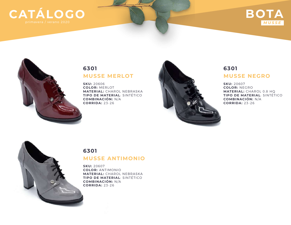# **CATÁLOGO**

## **BOTA** *MUSSE*



#### **MUSSE MERLOT 6301**

**SKU:** 20606 **COLOR:** MERLOT **MATERIAL:** CHAROL NEBRASKA **TIPO DE MATERIAL**: SINTÉTICO **COMBINACIÓN:** N/A **CORRIDA:** 23-26



#### **MUSSE NEGRO 6301**

**SKU:** 20607 **COLOR:** NEGRO **MATERIAL:** CHAROL 0.8 HQ **TIPO DE MATERIAL**: SINTÉTICO **COMBINACIÓN:** N/A **CORRIDA:** 23-26



#### **MUSSE ANTIMONIO 6301**

**SKU:** 20607 **COLOR:** ANTIMONIO **MATERIAL:** CHAROL NEBRASKA **TIPO DE MATERIAL**: SINTÉTICO **COMBINACIÓN:** N/A **CORRIDA:** 23-26